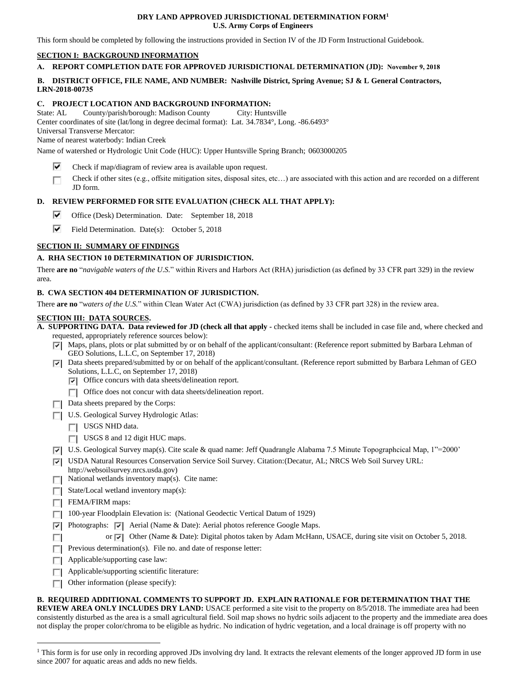#### **DRY LAND APPROVED JURISDICTIONAL DETERMINATION FORM<sup>1</sup> U.S. Army Corps of Engineers**

This form should be completed by following the instructions provided in Section IV of the JD Form Instructional Guidebook.

### **SECTION I: BACKGROUND INFORMATION**

### **A. REPORT COMPLETION DATE FOR APPROVED JURISDICTIONAL DETERMINATION (JD): November 9, 2018**

### **B. DISTRICT OFFICE, FILE NAME, AND NUMBER: Nashville District, Spring Avenue; SJ & L General Contractors, LRN-2018-00735**

## **C. PROJECT LOCATION AND BACKGROUND INFORMATION:**

State: AL County/parish/borough: Madison County City: Huntsville

Center coordinates of site (lat/long in degree decimal format): Lat. 34.7834°, Long. -86.6493°

Universal Transverse Mercator:

Name of nearest waterbody: Indian Creek

Name of watershed or Hydrologic Unit Code (HUC): Upper Huntsville Spring Branch; 0603000205

- Check if map/diagram of review area is available upon request. ~
- Check if other sites (e.g., offsite mitigation sites, disposal sites, etc…) are associated with this action and are recorded on a different JD form. □

# **D. REVIEW PERFORMED FOR SITE EVALUATION (CHECK ALL THAT APPLY):**

- ⊽ Office (Desk) Determination. Date: September 18, 2018
- ⊽. Field Determination. Date(s): October 5, 2018

### **SECTION II: SUMMARY OF FINDINGS**

### **A. RHA SECTION 10 DETERMINATION OF JURISDICTION.**

There **are no** "*navigable waters of the U.S.*" within Rivers and Harbors Act (RHA) jurisdiction (as defined by 33 CFR part 329) in the review area.

### **B. CWA SECTION 404 DETERMINATION OF JURISDICTION.**

There **are no** "*waters of the U.S.*" within Clean Water Act (CWA) jurisdiction (as defined by 33 CFR part 328) in the review area.

### **SECTION III: DATA SOURCES.**

**A. SUPPORTING DATA. Data reviewed for JD (check all that apply -** checked items shall be included in case file and, where checked and requested, appropriately reference sources below):

- Maps, plans, plots or plat submitted by or on behalf of the applicant/consultant: (Reference report submitted by Barbara Lehman of  $CFOS_1$ GEO Solutions, L.L.C, on September 17, 2018)
- $\Box$  Data sheets prepared/submitted by or on behalf of the applicant/consultant. (Reference report submitted by Barbara Lehman of GEO Solutions, L.L.C, on September 17, 2018)
	- Office concurs with data sheets/delineation report. B
	- Office does not concur with data sheets/delineation report.
- □ Data sheets prepared by the Corps: —<br>-<br>-
- □ U.S. Geological Survey Hydrologic Atlas:
	- USGS NHD data.
	- $\Box$  USGS 8 and 12 digit HUC maps.
- □ U.S. Geological Survey map(s). Cite scale & quad name: Jeff Quadrangle Alabama 7.5 Minute Topographcical Map, 1"=2000'
- USDA Natural Resources Conservation Service Soil Survey. Citation: (Decatur, AL; NRCS Web Soil Survey URL: http://www.hasil.com/
- http://websoilsurvey.nrcs.usda.gov)
- $\Box$  National wetlands inventory map(s). Cite name:
- $\Box$  State/Local wetland inventory map(s):
- □ Battle Ebear weiternet
- □ 12.000 Press Floodplain Elevation is: (National Geodectic Vertical Datum of 1929)
- Photographs: Tel Aerial (Name & Date): Aerial photos reference Google Maps.
	- or  $\boxed{\bullet}$  Other (Name & Date): Digital photos taken by Adam McHann, USACE, during site visit on October 5, 2018.
- Previous determination(s). File no. and date of response letter:
- $\Box$  Applicable/supporting case law:
- $\Box$  Applicable/supporting scientific literature:
- □ Other information (please specify): □

**B. REQUIRED ADDITIONAL COMMENTS TO SUPPORT JD. EXPLAIN RATIONALE FOR DETERMINATION THAT THE REVIEW AREA ONLY INCLUDES DRY LAND:** USACE performed a site visit to the property on 8/5/2018. The immediate area had been consistently disturbed as the area is a small agricultural field. Soil map shows no hydric soils adjacent to the property and the immediate area does

not display the proper color/chroma to be eligible as hydric. No indication of hydric vegetation, and a local drainage is off property with no

<sup>&</sup>lt;sup>1</sup> This form is for use only in recording approved JDs involving dry land. It extracts the relevant elements of the longer approved JD form in use since 2007 for aquatic areas and adds no new fields.